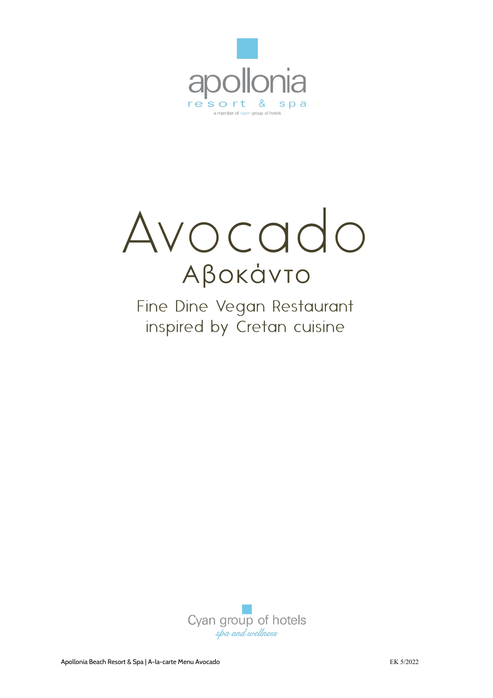



Fine Dine Vegan Restaurant inspired by Cretan cuisine

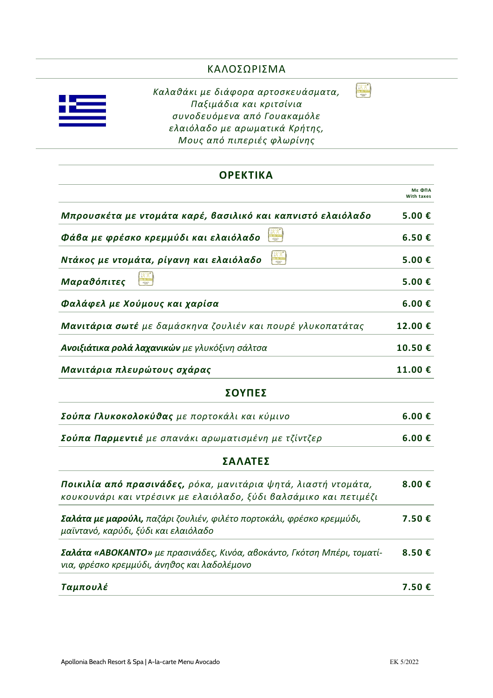## ΚΑΛΟΣΩΡΙΣΜΑ

 $\begin{picture}(20,20) \put(0,0){\line(1,0){155}} \put(15,0){\line(1,0){155}} \put(15,0){\line(1,0){155}} \put(15,0){\line(1,0){155}} \put(15,0){\line(1,0){155}} \put(15,0){\line(1,0){155}} \put(15,0){\line(1,0){155}} \put(15,0){\line(1,0){155}} \put(15,0){\line(1,0){155}} \put(15,0){\line(1,0){155}} \put(15,0){\line(1,0){155}} \$ 

*Καλαθάκι με διάφορα αρτοσκευάσματα, Παξιμάδια και κριτσίνια συνοδευόμενα από Γουακαμόλε ελαιόλαδο με αρωματικά Κρήτης, Μους από πιπεριές φλωρίνης* 

#### **ΟΡΕΚΤΙΚΑ**

|                                                                                                                                     | <b>Με ΦΠΑ</b><br><b>With taxes</b> |
|-------------------------------------------------------------------------------------------------------------------------------------|------------------------------------|
| Μπρουσκέτα με ντομάτα καρέ, βασιλικό και καπνιστό ελαιόλαδο                                                                         | 5.00€                              |
| Φάβα με φρέσκο κρεμμύδι και ελαιόλαδο                                                                                               | 6.50€                              |
| Ντάκος με ντομάτα, ρίγανη και ελαιόλαδο                                                                                             | 5.00€                              |
| Μαραθόπιτες                                                                                                                         | 5.00€                              |
| Φαλάφελ με Χούμους και χαρίσα                                                                                                       | 6.00 €                             |
| Μανιτάρια σωτέ με δαμάσκηνα ζουλιέν και πουρέ γλυκοπατάτας                                                                          | 12.00€                             |
| Ανοιξιάτικα ρολά λαχανικών με γλυκόξινη σάλτσα                                                                                      | 10.50€                             |
| Μανιτάρια πλευρώτους σχάρας                                                                                                         | 11.00€                             |
| ΣΟΥΠΕΣ                                                                                                                              |                                    |
| Σούπα Γλυκοκολοκύθας με πορτοκάλι και κύμινο                                                                                        | 6.00€                              |
| <b>Σούπα Παρμεντιέ</b> με σπανάκι αρωματισμένη με τζίντζερ                                                                          | 6.00 €                             |
| ΣΑΛΑΤΕΣ                                                                                                                             |                                    |
| Ποικιλία από πρασινάδες, ρόκα, μανιτάρια ψητά, λιαστή ντομάτα,<br>κουκουνάρι και ντρέσινκ με ελαιόλαδο, ξύδι βαλσάμικο και πετιμέζι | 8.00€                              |
| <b>Σαλάτα με μαρούλι,</b> παζάρι ζουλιέν, φιλέτο πορτοκάλι, φρέσκο κρεμμύδι,<br>μαϊντανό, καρύδι, ξύδι και ελαιόλαδο                | 7.50 €                             |
| <b>Σαλάτα «ΑΒΟΚΑΝΤΟ»</b> με πρασινάδες, Κινόα, αβοκάντο, Γκότση Μπέρι, τοματί-<br>νια, φρέσκο κρεμμύδι, άνηθος και λαδολέμονο       | 8.50€                              |
| Ταμπουλέ                                                                                                                            | 7.50 €                             |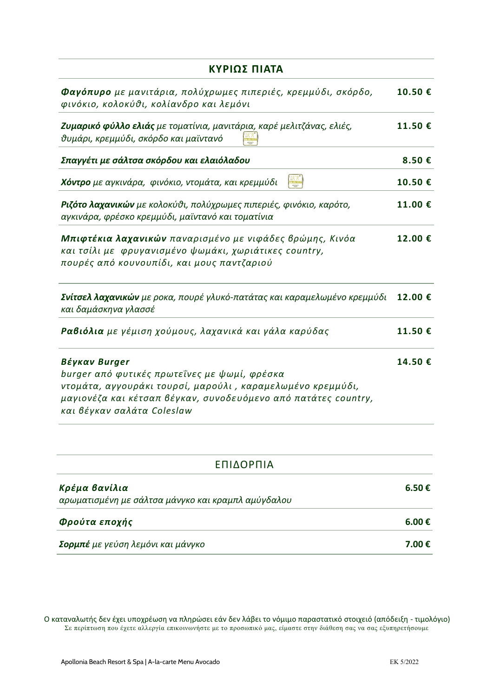| ΚΥΡΙΩΣ ΠΙΑΤΑ                                                                                                                                                                                                                 |         |
|------------------------------------------------------------------------------------------------------------------------------------------------------------------------------------------------------------------------------|---------|
| <b>Φαγόπυρο</b> με μανιτάρια, πολύχρωμες πιπεριές, κρεμμύδι, σκόρδο,<br>φινόκιο, κολοκύθι, κολίανδρο και λεμόνι                                                                                                              | 10.50€  |
| <b>Ζυμαρικό φύλλο ελιάς</b> με τοματίνια, μανιτάρια, καρέ μελιτζάνας, ελιές,<br>θυμάρι, κρεμμύδι, σκόρδο και μαϊντανό                                                                                                        | 11.50€  |
| Σπαγγέτι με σάλτσα σκόρδου και ελαιόλαδου                                                                                                                                                                                    | 8.50€   |
| <b>Χόντρο</b> με αγκινάρα, φινόκιο, ντομάτα, και κρεμμύδι                                                                                                                                                                    | 10.50€  |
| <b>Ριζότο λαχανικών</b> με κολοκύθι, πολύχρωμες πιπεριές, φινόκιο, καρότο,<br>αγκινάρα, φρέσκο κρεμμύδι, μαϊντανό και τοματίνια                                                                                              | 11.00€  |
| Μπιφτέκια λαχανικών παναρισμένο με νιφάδες βρώμης, Κινόα<br>και τσίλι με φρυγανισμένο ψωμάκι, χωριάτικες country,<br>πουρές από κουνουπίδι, και μους παντζαριού                                                              | 12.00€  |
| <b>Σνίτσελ λαχανικών</b> με ροκα, πουρέ γλυκό-πατάτας και καραμελωμένο κρεμμύδι<br>και δαμάσκηνα γλασσέ                                                                                                                      | 12.00€  |
| <b>Ραβιόλια</b> με γέμιση χούμους, λαχανικά και γάλα καρύδας                                                                                                                                                                 | 11.50 € |
| Βέγκαν Burger<br>burger από φυτικές πρωτεΐνες με ψωμί, φρέσκα<br>ντομάτα, αγγουράκι τουρσί, μαρούλι , καραμελωμένο κρεμμύδι,<br>μαγιονέζα και κέτσαπ βέγκαν, συνοδευόμενο από πατάτες country,<br>και βέγκαν σαλάτα Coleslaw | 14.50€  |

| ΕΠΙΔΟΡΠΙΑ                                                           |        |
|---------------------------------------------------------------------|--------|
| Κρέμα βανίλια<br>αρωματισμένη με σάλτσα μάνγκο και κραμπλ αμύγδαλου | 6.50 € |
| Φρούτα εποχής                                                       | 6.00 € |
| <b>Σορμπέ</b> με γεύση λεμόνι και μάνγκο                            | 7.00 € |

Ο καταναλωτής δεν έχει υποχρέωση να πληρώσει εάν δεν λάβει το νόμιμο παραστατικό στοιχειό (απόδειξη - τιμολόγιο) Σε περίπτωση που έχετε αλλεργία επικοινωνήστε με το προσωπικό μας, είμαστε στην διάθεση σας να σας εξυπηρετήσουμε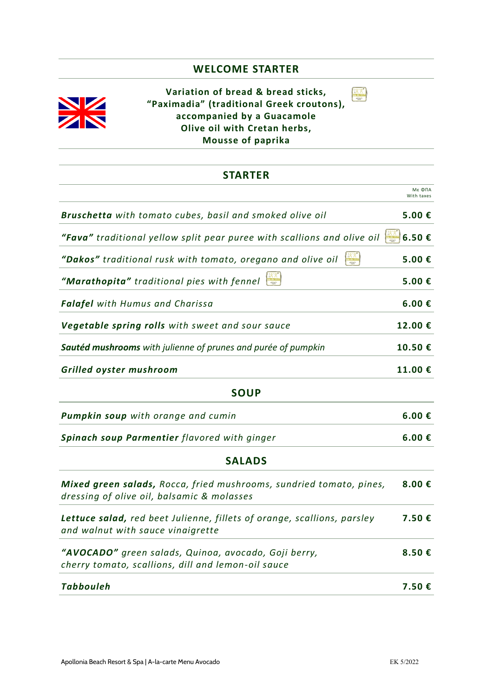#### **WELCOME STARTER**



**Variation of bread & bread sticks, "Paximadia" (traditional Greek croutons), accompanied by a Guacamole Olive oil with Cretan herbs, Mousse of paprika** 

# **STARTER** Με ΦΠΑ With taxes *Bruschetta with tomato cubes, basil and smoked olive oil* **5.00 €**  *"Fava" traditional yellow split pear puree with scallions and olive oil* **6.50 €**  *"Dakos" traditional rusk with tomato, oregano and olive oil* **5.00 €**  *"Marathopita" traditional pies with fennel* **5.00 €**  *Falafel with Humus and Charissa* **6.00 €**  *Vegetable spring rolls with sweet and sour sauce* **12.00 €**  *Sautéd mushrooms with julienne of prunes and purée of pumpkin* **10.50 €**  *Grilled oyster mushroom* **11.00 € SOUP** *Pumpkin soup with orange and cumin* **6.00 €**  *Spinach soup Parmentier flavored with ginger* **6.00 € SALADS** *Mixed green salads, Rocca, fried mushrooms, sundried tomato, pines, dressing of olive oil, balsamic & molasses*  **8.00 €**  *Lettuce salad, red beet Julienne, fillets of orange, scallions, parsley*  **7.50 €**

*and walnut with sauce vinaigrette "AVOCADO" green salads, Quinoa, avocado, Goji berry, cherry tomato, scallions, dill and lemon-oil sauce* **8.50 €** 

| Tabbouleh | 7.50€ |
|-----------|-------|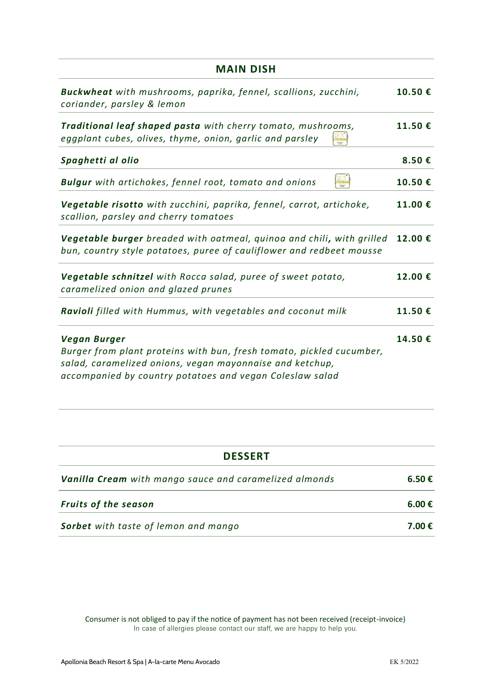| <b>MAIN DISH</b>                                                                                                                                                                                             |         |
|--------------------------------------------------------------------------------------------------------------------------------------------------------------------------------------------------------------|---------|
| Buckwheat with mushrooms, paprika, fennel, scallions, zucchini,<br>coriander, parsley & lemon                                                                                                                | 10.50€  |
| Traditional leaf shaped pasta with cherry tomato, mushrooms,<br>eggplant cubes, olives, thyme, onion, garlic and parsley                                                                                     | 11.50€  |
| Spaghetti al olio                                                                                                                                                                                            | 8.50€   |
| <b>Bulgur</b> with artichokes, fennel root, tomato and onions                                                                                                                                                | 10.50€  |
| Vegetable risotto with zucchini, paprika, fennel, carrot, artichoke,<br>scallion, parsley and cherry tomatoes                                                                                                | 11.00 € |
| Vegetable burger breaded with oatmeal, quinoa and chili, with grilled<br>bun, country style potatoes, puree of cauliflower and redbeet mousse                                                                | 12.00€  |
| Vegetable schnitzel with Rocca salad, puree of sweet potato,<br>caramelized onion and glazed prunes                                                                                                          | 12.00€  |
| Ravioli filled with Hummus, with vegetables and coconut milk                                                                                                                                                 | 11.50 € |
| Vegan Burger<br>Burger from plant proteins with bun, fresh tomato, pickled cucumber,<br>salad, caramelized onions, vegan mayonnaise and ketchup,<br>accompanied by country potatoes and vegan Coleslaw salad | 14.50€  |

| <b>DESSERT</b>                                                |        |
|---------------------------------------------------------------|--------|
| <b>Vanilla Cream</b> with mango sauce and caramelized almonds | 6.50€  |
| <b>Fruits of the season</b>                                   | 6.00 € |
| <b>Sorbet</b> with taste of lemon and mango                   | 7.00 € |

Consumer is not obliged to pay if the notice of payment has not been received (receipt-invoice)<br>In case of allergies please contact our staff, we are happy to help you.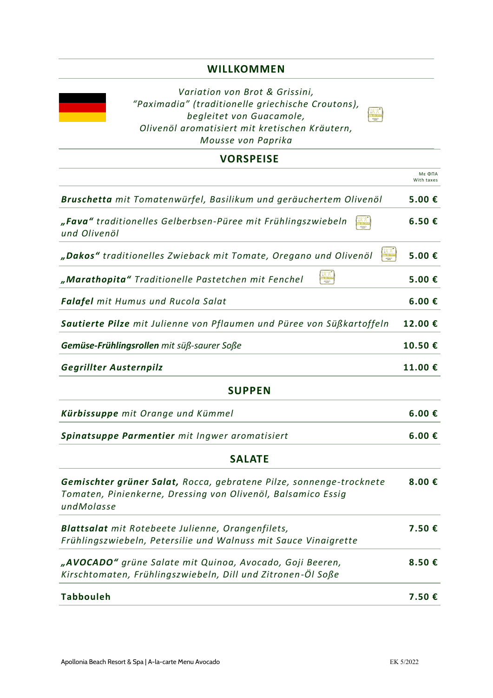### **WILLKOMMEN**



#### **VORSPEISE**

|                                                                                                                                                   | Мε ΦΠΑ<br>With taxes |
|---------------------------------------------------------------------------------------------------------------------------------------------------|----------------------|
| Bruschetta mit Tomatenwürfel, Basilikum und geräuchertem Olivenöl                                                                                 | 5.00€                |
| "Fava" traditionelles Gelberbsen-Püree mit Frühlingszwiebeln<br>und Olivenöl                                                                      | 6.50€                |
| "Dakos" traditionelles Zwieback mit Tomate, Oregano und Olivenöl                                                                                  | 5.00€                |
| $\frac{\sqrt{X}}{\sqrt{X}}$<br>"Marathopita" Traditionelle Pastetchen mit Fenchel                                                                 | 5.00€                |
| <b>Falafel</b> mit Humus und Rucola Salat                                                                                                         | $6.00 \text{ } \in$  |
| Sautierte Pilze mit Julienne von Pflaumen und Püree von Süßkartoffeln                                                                             | 12.00€               |
| Gemüse-Frühlingsrollen mit süß-saurer Soße                                                                                                        | 10.50€               |
| Gegrillter Austernpilz                                                                                                                            | 11.00€               |
| <b>SUPPEN</b>                                                                                                                                     |                      |
| Kürbissuppe mit Orange und Kümmel                                                                                                                 | 6.00 €               |
| Spinatsuppe Parmentier mit Ingwer aromatisiert                                                                                                    | 6.00€                |
| <b>SALATE</b>                                                                                                                                     |                      |
| Gemischter grüner Salat, Rocca, gebratene Pilze, sonnenge-trocknete<br>Tomaten, Pinienkerne, Dressing von Olivenöl, Balsamico Essig<br>undMolasse | 8.00€                |
| Blattsalat mit Rotebeete Julienne, Orangenfilets,<br>Frühlingszwiebeln, Petersilie und Walnuss mit Sauce Vinaigrette                              | 7.50€                |
| "AVOCADO" grüne Salate mit Quinoa, Avocado, Goji Beeren,<br>Kirschtomaten, Frühlingszwiebeln, Dill und Zitronen-Öl Soße                           | 8.50€                |
| <b>Tabbouleh</b>                                                                                                                                  | 7.50€                |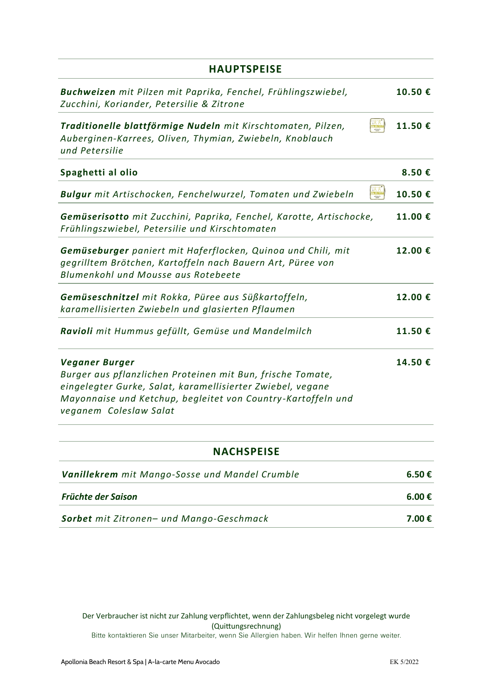| <b>HAUPTSPEISE</b>                                                                                                                                                                                                                          |         |
|---------------------------------------------------------------------------------------------------------------------------------------------------------------------------------------------------------------------------------------------|---------|
| Buchweizen mit Pilzen mit Paprika, Fenchel, Frühlingszwiebel,<br>Zucchini, Koriander, Petersilie & Zitrone                                                                                                                                  | 10.50€  |
| Traditionelle blattförmige Nudeln mit Kirschtomaten, Pilzen,<br>Auberginen-Karrees, Oliven, Thymian, Zwiebeln, Knoblauch<br>und Petersilie                                                                                                  | 11.50€  |
| Spaghetti al olio                                                                                                                                                                                                                           | 8.50€   |
| <b>Bulgur</b> mit Artischocken, Fenchelwurzel, Tomaten und Zwiebeln                                                                                                                                                                         | 10.50€  |
| Gemüserisotto mit Zucchini, Paprika, Fenchel, Karotte, Artischocke,<br>Frühlingszwiebel, Petersilie und Kirschtomaten                                                                                                                       | 11.00 € |
| Gemüseburger paniert mit Haferflocken, Quinoa und Chili, mit<br>gegrilltem Brötchen, Kartoffeln nach Bauern Art, Püree von<br>Blumenkohl und Mousse aus Rotebeete                                                                           | 12.00 € |
| Gemüseschnitzel mit Rokka, Püree aus Süßkartoffeln,<br>karamellisierten Zwiebeln und glasierten Pflaumen                                                                                                                                    | 12.00 € |
| Ravioli mit Hummus gefüllt, Gemüse und Mandelmilch                                                                                                                                                                                          | 11.50€  |
| <b>Veganer Burger</b><br>Burger aus pflanzlichen Proteinen mit Bun, frische Tomate,<br>eingelegter Gurke, Salat, karamellisierter Zwiebel, vegane<br>Mayonnaise und Ketchup, begleitet von Country-Kartoffeln und<br>veganem Coleslaw Salat | 14.50€  |
| <b>NACHSPEISE</b>                                                                                                                                                                                                                           |         |

| <b>Vanillekrem</b> mit Mango-Sosse und Mandel Crumble | 6.50€  |
|-------------------------------------------------------|--------|
| <b>Früchte der Saison</b>                             | 6.00€  |
| <b>Sorbet</b> mit Zitronen- und Mango-Geschmack       | 7.00 € |

Der Verbraucher ist nicht zur Zahlung verpflichtet, wenn der Zahlungsbeleg nicht vorgelegt wurde Example of the set of the Coult (Quittungsrechnung)<br>Bitte kontaktieren Sie unser Mitarbeiter, wenn Sie Allergien haben. Wir helfen Ihnen gerne weiter.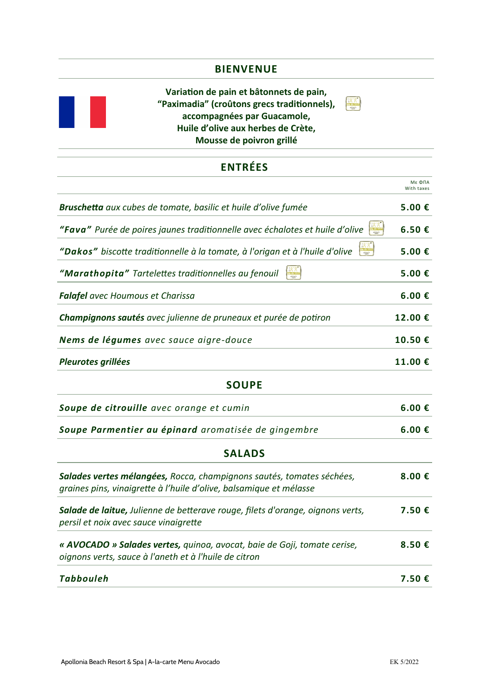### **BIENVENUE**

**Variation de pain et bâtonnets de pain, "Paximadia" (croûtons grecs traditionnels), accompagnées par Guacamole, Huile d'olive aux herbes de Crète, Mousse de poivron grillé** 

 $M_0$  do local  $M_0$ 

## **ENTRÉES**

|                                                                                                                                             | Мє ФПА<br>With taxes |
|---------------------------------------------------------------------------------------------------------------------------------------------|----------------------|
| Bruschetta aux cubes de tomate, basilic et huile d'olive fumée                                                                              | 5.00€                |
| "Fava" Purée de poires jaunes traditionnelle avec échalotes et huile d'olive                                                                | 6.50€                |
| "Dakos" biscotte traditionnelle à la tomate, à l'origan et à l'huile d'olive                                                                | 5.00€                |
| "Marathopita" Tartelettes traditionnelles au fenouil                                                                                        | 5.00€                |
| <b>Falafel</b> avec Houmous et Charissa                                                                                                     | 6.00€                |
| Champignons sautés avec julienne de pruneaux et purée de potiron                                                                            | 12.00€               |
| Nems de légumes avec sauce aigre-douce                                                                                                      | 10.50€               |
| Pleurotes grillées                                                                                                                          | 11.00€               |
| <b>SOUPE</b>                                                                                                                                |                      |
| Soupe de citrouille avec orange et cumin                                                                                                    | 6.00€                |
| Soupe Parmentier au épinard aromatisée de gingembre                                                                                         | 6.00 €               |
| <b>SALADS</b>                                                                                                                               |                      |
| Salades vertes mélangées, Rocca, champignons sautés, tomates séchées,<br>graines pins, vinaigrette à l'huile d'olive, balsamique et mélasse | 8.00 $E$             |
| Salade de laitue, Julienne de betterave rouge, filets d'orange, oignons verts,<br>persil et noix avec sauce vinaigrette                     | 7.50€                |
| « AVOCADO » Salades vertes, quinoa, avocat, baie de Goji, tomate cerise,<br>oignons verts, sauce à l'aneth et à l'huile de citron           | 8.50€                |
| <b>Tabbouleh</b>                                                                                                                            | 7.50€                |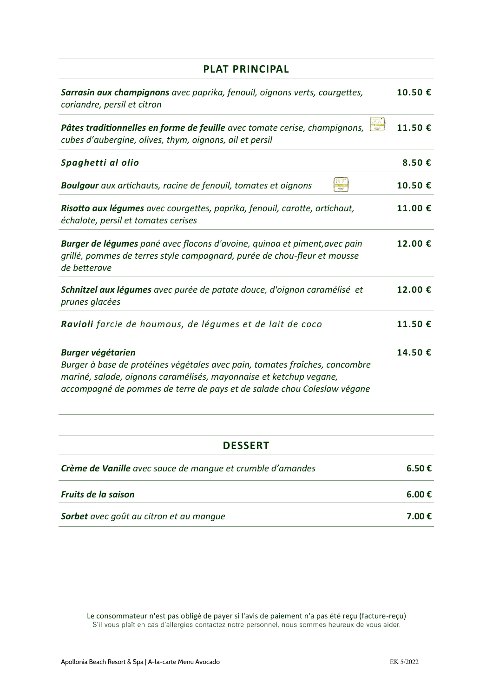| <b>PLAT PRINCIPAL</b>                                                                                                                                                                                                                                    |        |
|----------------------------------------------------------------------------------------------------------------------------------------------------------------------------------------------------------------------------------------------------------|--------|
| Sarrasin aux champignons avec paprika, fenouil, oignons verts, courgettes,<br>coriandre, persil et citron                                                                                                                                                | 10.50€ |
| Pâtes traditionnelles en forme de feuille avec tomate cerise, champignons,<br>cubes d'aubergine, olives, thym, oignons, ail et persil                                                                                                                    | 11.50€ |
| Spaghetti al olio                                                                                                                                                                                                                                        | 8.50€  |
| <b>Boulgour</b> aux artichauts, racine de fenouil, tomates et oignons                                                                                                                                                                                    | 10.50€ |
| Risotto aux légumes avec courgettes, paprika, fenouil, carotte, artichaut,<br>échalote, persil et tomates cerises                                                                                                                                        | 11.00€ |
| Burger de légumes pané avec flocons d'avoine, quinoa et piment, avec pain<br>grillé, pommes de terres style campagnard, purée de chou-fleur et mousse<br>de betterave                                                                                    | 12.00€ |
| Schnitzel aux légumes avec purée de patate douce, d'oignon caramélisé et<br>prunes glacées                                                                                                                                                               | 12.00€ |
| Ravioli farcie de houmous, de légumes et de lait de coco                                                                                                                                                                                                 | 11.50€ |
| <b>Burger végétarien</b><br>Burger à base de protéines végétales avec pain, tomates fraîches, concombre<br>mariné, salade, oignons caramélisés, mayonnaise et ketchup vegane,<br>accompagné de pommes de terre de pays et de salade chou Coleslaw végane | 14.50€ |

| L.<br>n<br>▐▔▏<br>۔ | ı |
|---------------------|---|
|---------------------|---|

| Crème de Vanille avec sauce de manque et crumble d'amandes | 6.50€  |
|------------------------------------------------------------|--------|
| <b>Fruits de la saison</b>                                 | 6.00 € |
| Sorbet avec goût au citron et au manque                    | 7.00 € |

Le consommateur n'est pas obligé de payer si l'avis de paiement n'a pas été reçu (facture-reçu)<br>S'il vous plaît en cas d'allergies contactez notre personnel, nous sommes heureux de vous aider.